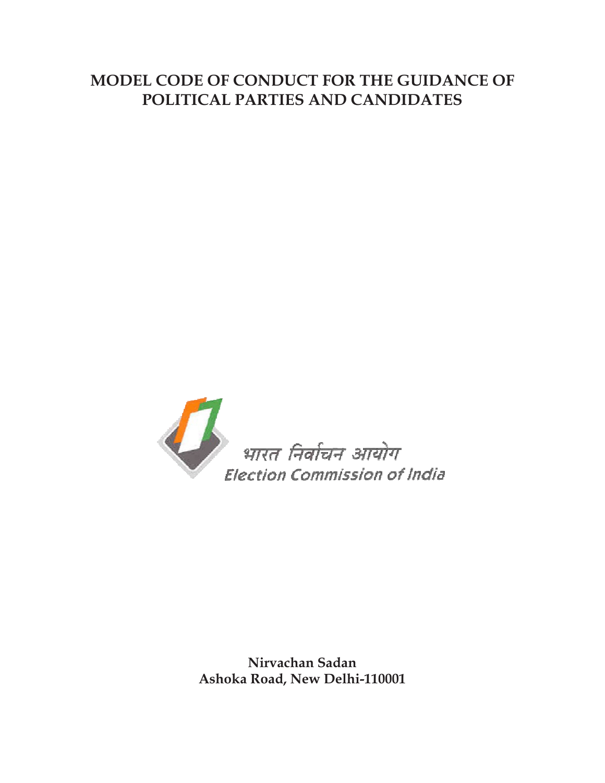## **MODEL CODE OF CONDUCT FOR THE GUIDANCE OF POLITICAL PARTIES AND CANDIDATES**



**Nirvachan Sadan Ashoka Road, New Delhi-110001**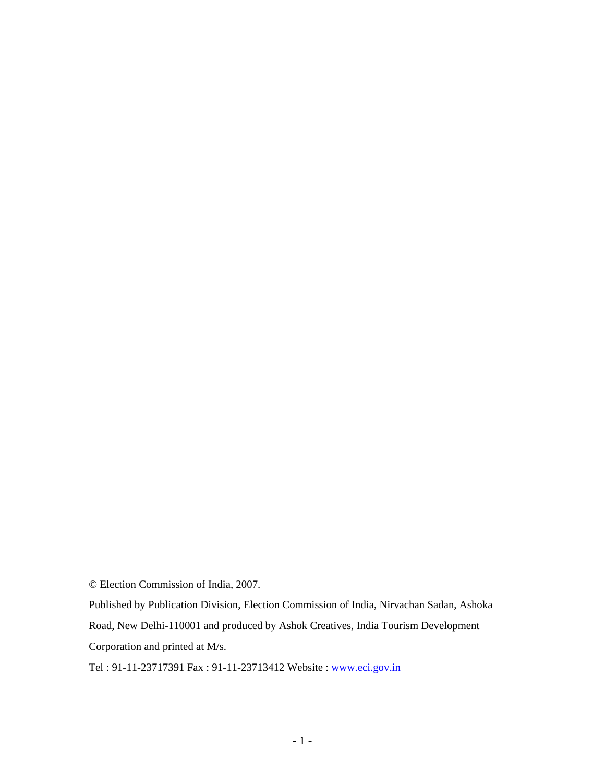© Election Commission of India, 2007.

Published by Publication Division, Election Commission of India, Nirvachan Sadan, Ashoka Road, New Delhi-110001 and produced by Ashok Creatives, India Tourism Development Corporation and printed at M/s.

Tel : 91-11-23717391 Fax : 91-11-23713412 Website : www.eci.gov.in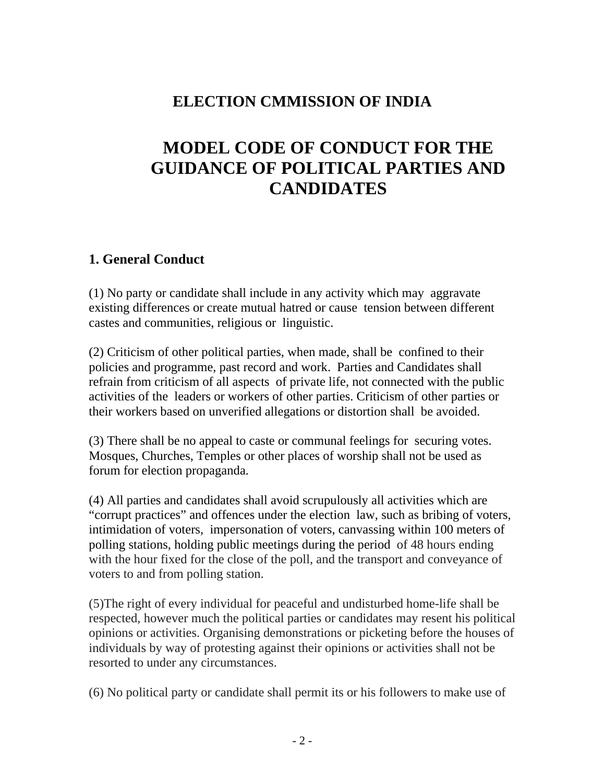## **ELECTION CMMISSION OF INDIA**

# **MODEL CODE OF CONDUCT FOR THE GUIDANCE OF POLITICAL PARTIES AND CANDIDATES**

## **1. General Conduct**

(1) No party or candidate shall include in any activity which may aggravate existing differences or create mutual hatred or cause tension between different castes and communities, religious or linguistic.

(2) Criticism of other political parties, when made, shall be confined to their policies and programme, past record and work. Parties and Candidates shall refrain from criticism of all aspects of private life, not connected with the public activities of the leaders or workers of other parties. Criticism of other parties or their workers based on unverified allegations or distortion shall be avoided.

(3) There shall be no appeal to caste or communal feelings for securing votes. Mosques, Churches, Temples or other places of worship shall not be used as forum for election propaganda.

(4) All parties and candidates shall avoid scrupulously all activities which are "corrupt practices" and offences under the election law, such as bribing of voters, intimidation of voters, impersonation of voters, canvassing within 100 meters of polling stations, holding public meetings during the period of 48 hours ending with the hour fixed for the close of the poll, and the transport and conveyance of voters to and from polling station.

(5)The right of every individual for peaceful and undisturbed home-life shall be respected, however much the political parties or candidates may resent his political opinions or activities. Organising demonstrations or picketing before the houses of individuals by way of protesting against their opinions or activities shall not be resorted to under any circumstances.

(6) No political party or candidate shall permit its or his followers to make use of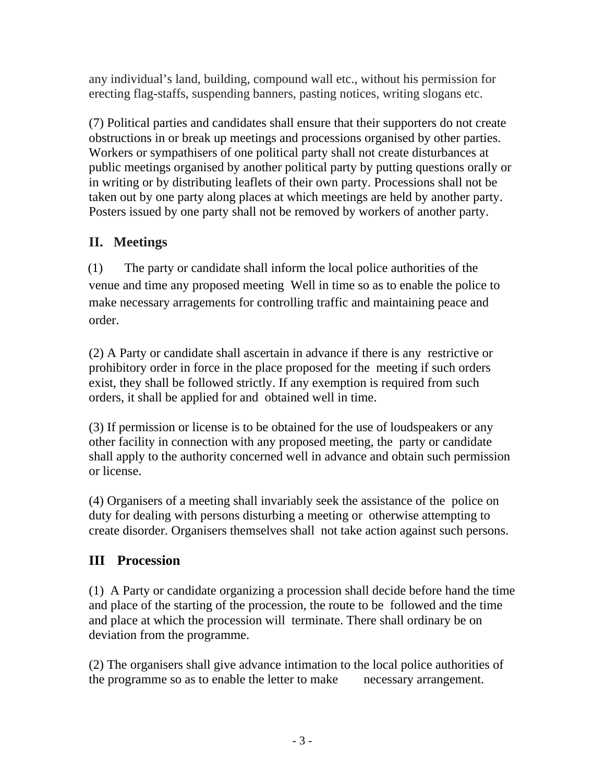any individual's land, building, compound wall etc., without his permission for erecting flag-staffs, suspending banners, pasting notices, writing slogans etc.

(7) Political parties and candidates shall ensure that their supporters do not create obstructions in or break up meetings and processions organised by other parties. Workers or sympathisers of one political party shall not create disturbances at public meetings organised by another political party by putting questions orally or in writing or by distributing leaflets of their own party. Processions shall not be taken out by one party along places at which meetings are held by another party. Posters issued by one party shall not be removed by workers of another party.

## **II. Meetings**

(1) The party or candidate shall inform the local police authorities of the venue and time any proposed meeting Well in time so as to enable the police to make necessary arragements for controlling traffic and maintaining peace and order.

(2) A Party or candidate shall ascertain in advance if there is any restrictive or prohibitory order in force in the place proposed for the meeting if such orders exist, they shall be followed strictly. If any exemption is required from such orders, it shall be applied for and obtained well in time.

(3) If permission or license is to be obtained for the use of loudspeakers or any other facility in connection with any proposed meeting, the party or candidate shall apply to the authority concerned well in advance and obtain such permission or license.

(4) Organisers of a meeting shall invariably seek the assistance of the police on duty for dealing with persons disturbing a meeting or otherwise attempting to create disorder. Organisers themselves shall not take action against such persons.

## **III Procession**

(1) A Party or candidate organizing a procession shall decide before hand the time and place of the starting of the procession, the route to be followed and the time and place at which the procession will terminate. There shall ordinary be on deviation from the programme.

(2) The organisers shall give advance intimation to the local police authorities of the programme so as to enable the letter to make necessary arrangement.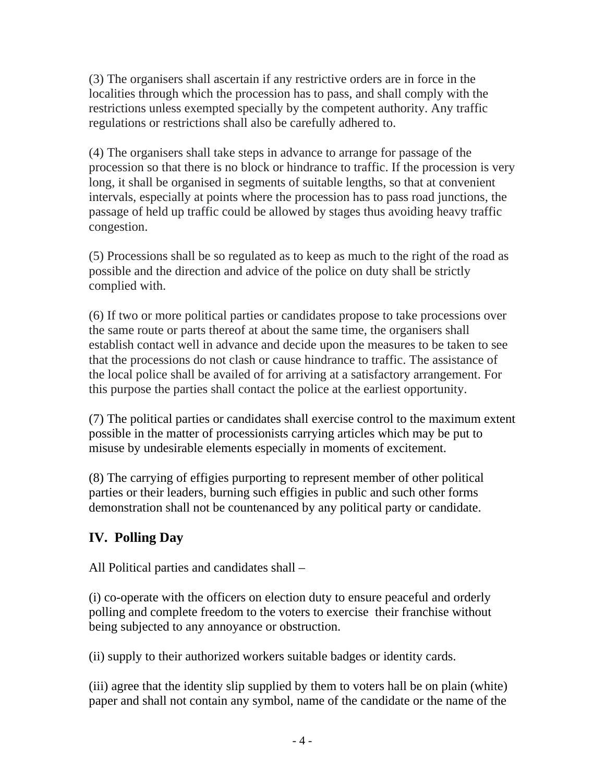(3) The organisers shall ascertain if any restrictive orders are in force in the localities through which the procession has to pass, and shall comply with the restrictions unless exempted specially by the competent authority. Any traffic regulations or restrictions shall also be carefully adhered to.

(4) The organisers shall take steps in advance to arrange for passage of the procession so that there is no block or hindrance to traffic. If the procession is very long, it shall be organised in segments of suitable lengths, so that at convenient intervals, especially at points where the procession has to pass road junctions, the passage of held up traffic could be allowed by stages thus avoiding heavy traffic congestion.

(5) Processions shall be so regulated as to keep as much to the right of the road as possible and the direction and advice of the police on duty shall be strictly complied with.

(6) If two or more political parties or candidates propose to take processions over the same route or parts thereof at about the same time, the organisers shall establish contact well in advance and decide upon the measures to be taken to see that the processions do not clash or cause hindrance to traffic. The assistance of the local police shall be availed of for arriving at a satisfactory arrangement. For this purpose the parties shall contact the police at the earliest opportunity.

(7) The political parties or candidates shall exercise control to the maximum extent possible in the matter of processionists carrying articles which may be put to misuse by undesirable elements especially in moments of excitement.

(8) The carrying of effigies purporting to represent member of other political parties or their leaders, burning such effigies in public and such other forms demonstration shall not be countenanced by any political party or candidate.

## **IV. Polling Day**

All Political parties and candidates shall –

(i) co-operate with the officers on election duty to ensure peaceful and orderly polling and complete freedom to the voters to exercise their franchise without being subjected to any annoyance or obstruction.

(ii) supply to their authorized workers suitable badges or identity cards.

(iii) agree that the identity slip supplied by them to voters hall be on plain (white) paper and shall not contain any symbol, name of the candidate or the name of the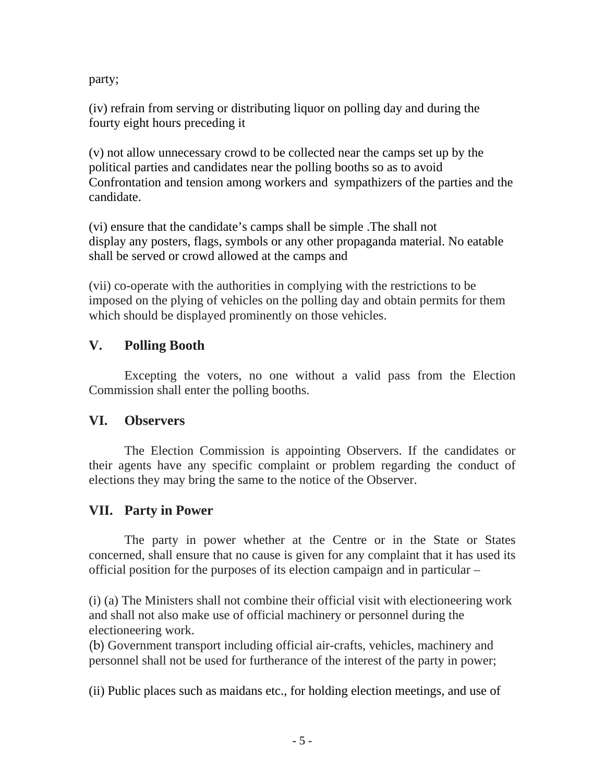party;

(iv) refrain from serving or distributing liquor on polling day and during the fourty eight hours preceding it

(v) not allow unnecessary crowd to be collected near the camps set up by the political parties and candidates near the polling booths so as to avoid Confrontation and tension among workers and sympathizers of the parties and the candidate.

(vi) ensure that the candidate's camps shall be simple .The shall not display any posters, flags, symbols or any other propaganda material. No eatable shall be served or crowd allowed at the camps and

(vii) co-operate with the authorities in complying with the restrictions to be imposed on the plying of vehicles on the polling day and obtain permits for them which should be displayed prominently on those vehicles.

## **V. Polling Booth**

Excepting the voters, no one without a valid pass from the Election Commission shall enter the polling booths.

## **VI. Observers**

The Election Commission is appointing Observers. If the candidates or their agents have any specific complaint or problem regarding the conduct of elections they may bring the same to the notice of the Observer.

## **VII. Party in Power**

The party in power whether at the Centre or in the State or States concerned, shall ensure that no cause is given for any complaint that it has used its official position for the purposes of its election campaign and in particular –

(i) (a) The Ministers shall not combine their official visit with electioneering work and shall not also make use of official machinery or personnel during the electioneering work.

(b) Government transport including official air-crafts, vehicles, machinery and personnel shall not be used for furtherance of the interest of the party in power;

(ii) Public places such as maidans etc., for holding election meetings, and use of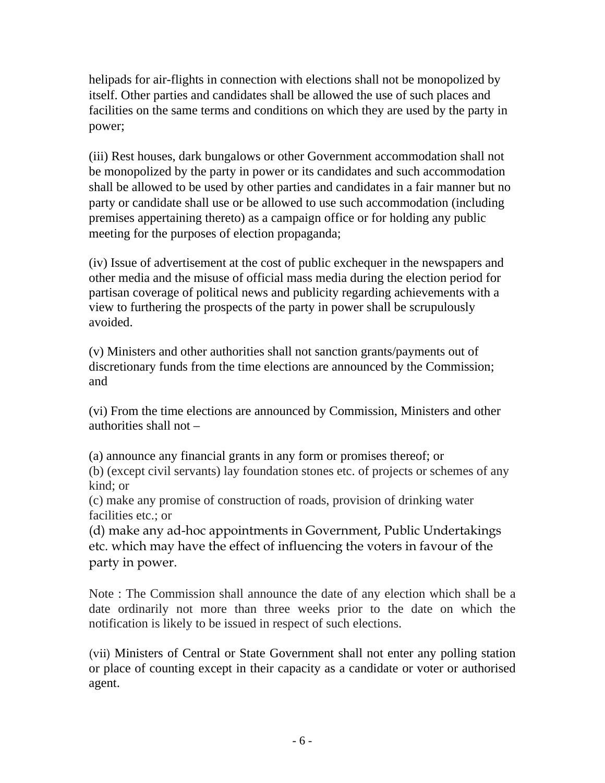helipads for air-flights in connection with elections shall not be monopolized by itself. Other parties and candidates shall be allowed the use of such places and facilities on the same terms and conditions on which they are used by the party in power;

(iii) Rest houses, dark bungalows or other Government accommodation shall not be monopolized by the party in power or its candidates and such accommodation shall be allowed to be used by other parties and candidates in a fair manner but no party or candidate shall use or be allowed to use such accommodation (including premises appertaining thereto) as a campaign office or for holding any public meeting for the purposes of election propaganda;

(iv) Issue of advertisement at the cost of public exchequer in the newspapers and other media and the misuse of official mass media during the election period for partisan coverage of political news and publicity regarding achievements with a view to furthering the prospects of the party in power shall be scrupulously avoided.

(v) Ministers and other authorities shall not sanction grants/payments out of discretionary funds from the time elections are announced by the Commission; and

(vi) From the time elections are announced by Commission, Ministers and other authorities shall not –

(a) announce any financial grants in any form or promises thereof; or

(b) (except civil servants) lay foundation stones etc. of projects or schemes of any kind; or

(c) make any promise of construction of roads, provision of drinking water facilities etc.; or

(d) make any ad-hoc appointments in Government, Public Undertakings etc. which may have the effect of influencing the voters in favour of the party in power.

Note : The Commission shall announce the date of any election which shall be a date ordinarily not more than three weeks prior to the date on which the notification is likely to be issued in respect of such elections.

(vii) Ministers of Central or State Government shall not enter any polling station or place of counting except in their capacity as a candidate or voter or authorised agent.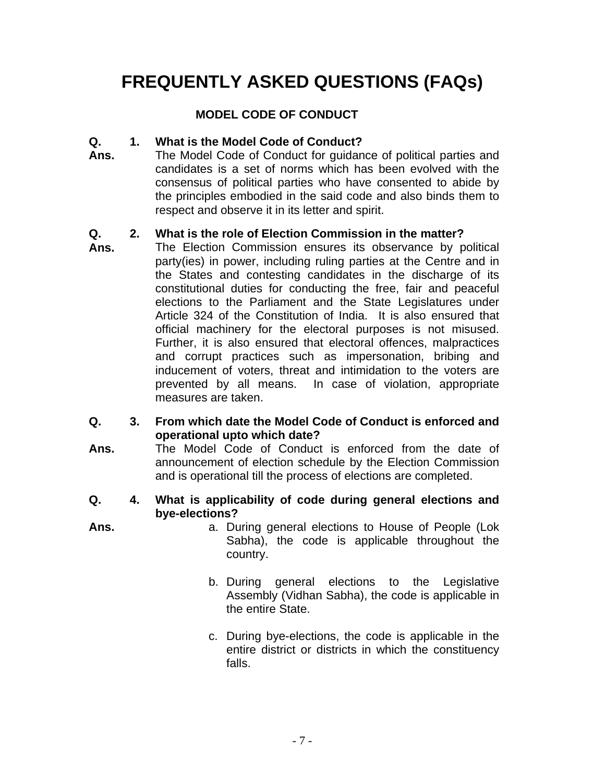# **FREQUENTLY ASKED QUESTIONS (FAQs)**

## **MODEL CODE OF CONDUCT**

#### **Q. What is the Model Code of Conduct? 1.**

**Ans.**  The Model Code of Conduct for guidance of political parties and candidates is a set of norms which has been evolved with the consensus of political parties who have consented to abide by the principles embodied in the said code and also binds them to respect and observe it in its letter and spirit.

#### **Q. What is the role of Election Commission in the matter? 2.**

- **Ans.**  The Election Commission ensures its observance by political party(ies) in power, including ruling parties at the Centre and in the States and contesting candidates in the discharge of its constitutional duties for conducting the free, fair and peaceful elections to the Parliament and the State Legislatures under Article 324 of the Constitution of India. It is also ensured that official machinery for the electoral purposes is not misused. Further, it is also ensured that electoral offences, malpractices and corrupt practices such as impersonation, bribing and inducement of voters, threat and intimidation to the voters are prevented by all means. In case of violation, appropriate measures are taken.
- **Q. From which date the Model Code of Conduct is enforced and operational upto which date? 3.**
- **Ans.**  The Model Code of Conduct is enforced from the date of announcement of election schedule by the Election Commission and is operational till the process of elections are completed.

#### **Q. What is applicability of code during general elections and bye-elections? 4.**

**Ans.** 

- a. During general elections to House of People (Lok Sabha), the code is applicable throughout the country.
	- b. During general elections to the Legislative Assembly (Vidhan Sabha), the code is applicable in the entire State.
	- c. During bye-elections, the code is applicable in the entire district or districts in which the constituency falls.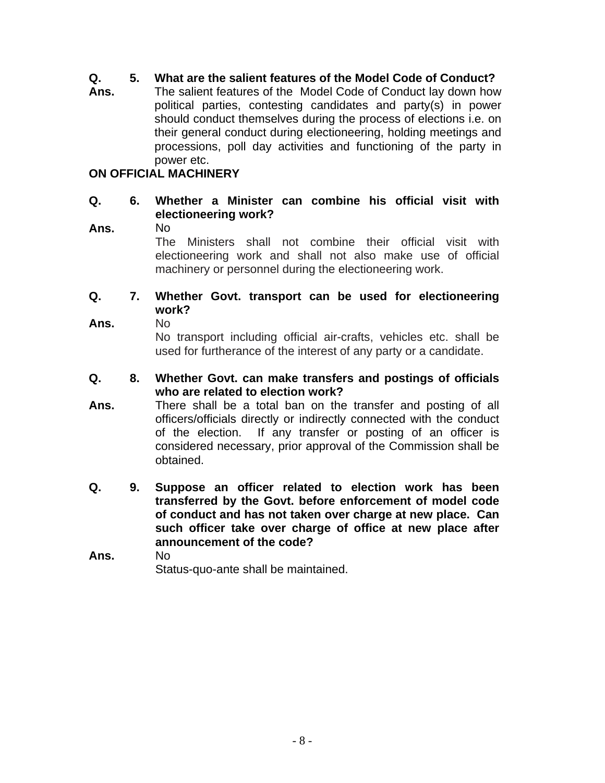#### **Q. What are the salient features of the Model Code of Conduct? 5.**

**Ans.**  The salient features of the Model Code of Conduct lay down how political parties, contesting candidates and party(s) in power should conduct themselves during the process of elections i.e. on their general conduct during electioneering, holding meetings and processions, poll day activities and functioning of the party in power etc.

### **ON OFFICIAL MACHINERY**

#### **Q. Whether a Minister can combine his official visit with electioneering work? 6.**

**Ans.**  No

The Ministers shall not combine their official visit with electioneering work and shall not also make use of official machinery or personnel during the electioneering work.

#### **Q. Whether Govt. transport can be used for electioneering work? 7.**  No

**Ans.** 

No transport including official air-crafts, vehicles etc. shall be used for furtherance of the interest of any party or a candidate.

#### **Q. Whether Govt. can make transfers and postings of officials who are related to election work? 8.**

- **Ans.**  There shall be a total ban on the transfer and posting of all officers/officials directly or indirectly connected with the conduct of the election. If any transfer or posting of an officer is considered necessary, prior approval of the Commission shall be obtained.
- **Q. Suppose an officer related to election work has been transferred by the Govt. before enforcement of model code of conduct and has not taken over charge at new place. Can such officer take over charge of office at new place after announcement of the code? 9.**

#### **Ans.**  No Status-quo-ante shall be maintained.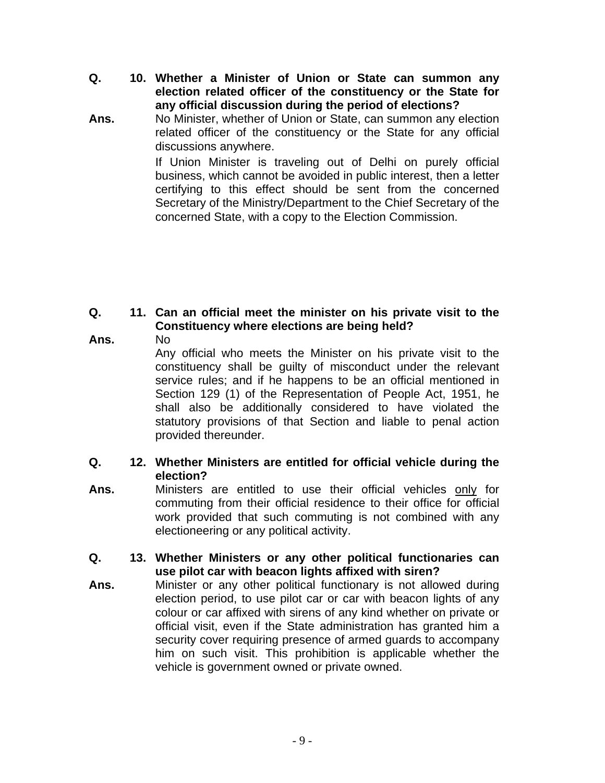- **Q. Whether a Minister of Union or State can summon any 10. election related officer of the constituency or the State for any official discussion during the period of elections?**
- **Ans.**  No Minister, whether of Union or State, can summon any election related officer of the constituency or the State for any official discussions anywhere.

If Union Minister is traveling out of Delhi on purely official business, which cannot be avoided in public interest, then a letter certifying to this effect should be sent from the concerned Secretary of the Ministry/Department to the Chief Secretary of the concerned State, with a copy to the Election Commission.

#### **Q. Can an official meet the minister on his private visit to the 11. Constituency where elections are being held?**  No

#### **Ans.**

Any official who meets the Minister on his private visit to the constituency shall be guilty of misconduct under the relevant service rules; and if he happens to be an official mentioned in Section 129 (1) of the Representation of People Act, 1951, he shall also be additionally considered to have violated the statutory provisions of that Section and liable to penal action provided thereunder.

### **Q. Whether Ministers are entitled for official vehicle during the 12. election?**

**Ans.**  Ministers are entitled to use their official vehicles only for commuting from their official residence to their office for official work provided that such commuting is not combined with any electioneering or any political activity.

#### **Q. Whether Ministers or any other political functionaries can 13. use pilot car with beacon lights affixed with siren?**

**Ans.**  Minister or any other political functionary is not allowed during election period, to use pilot car or car with beacon lights of any colour or car affixed with sirens of any kind whether on private or official visit, even if the State administration has granted him a security cover requiring presence of armed guards to accompany him on such visit. This prohibition is applicable whether the vehicle is government owned or private owned.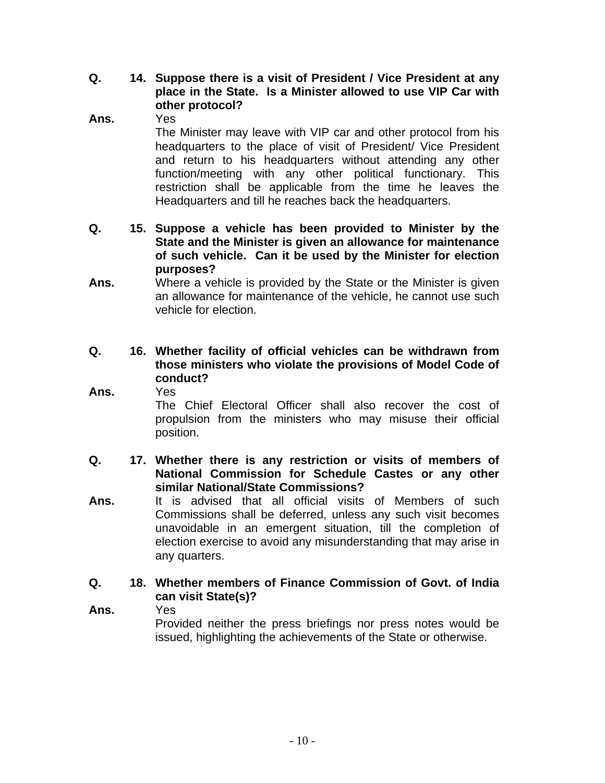- Q. 14. Suppose there is a visit of President / Vice President at any **place in the State. Is a Minister allowed to use VIP Car with other protocol?**
- **Ans.**  Yes

The Minister may leave with VIP car and other protocol from his headquarters to the place of visit of President/ Vice President and return to his headquarters without attending any other function/meeting with any other political functionary. This restriction shall be applicable from the time he leaves the Headquarters and till he reaches back the headquarters.

- Q. 15. Suppose a vehicle has been provided to Minister by the **State and the Minister is given an allowance for maintenance of such vehicle. Can it be used by the Minister for election purposes?**
- **Ans.**  Where a vehicle is provided by the State or the Minister is given an allowance for maintenance of the vehicle, he cannot use such vehicle for election.
- **Q. Whether facility of official vehicles can be withdrawn from 16. those ministers who violate the provisions of Model Code of conduct?**
- **Ans.**  Yes The Chief Electoral Officer shall also recover the cost of propulsion from the ministers who may misuse their official position.
- **Q. Whether there is any restriction or visits of members of 17. National Commission for Schedule Castes or any other similar National/State Commissions?**
- **Ans.**  It is advised that all official visits of Members of such Commissions shall be deferred, unless any such visit becomes unavoidable in an emergent situation, till the completion of election exercise to avoid any misunderstanding that may arise in any quarters.

#### **Q. Whether members of Finance Commission of Govt. of India 18. can visit State(s)?**

**Ans.** 

Yes

Provided neither the press briefings nor press notes would be issued, highlighting the achievements of the State or otherwise.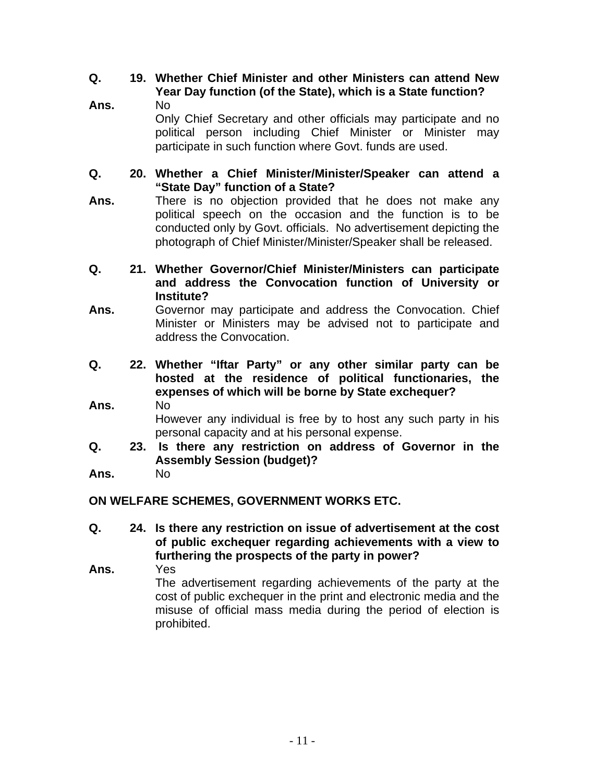### **Q. Whether Chief Minister and other Ministers can attend New 19. Year Day function (of the State), which is a State function?**

#### **Ans.**  No

Only Chief Secretary and other officials may participate and no political person including Chief Minister or Minister may participate in such function where Govt. funds are used.

#### **Q. Whether a Chief Minister/Minister/Speaker can attend a 20. "State Day" function of a State?**

**Ans.**  There is no objection provided that he does not make any political speech on the occasion and the function is to be conducted only by Govt. officials. No advertisement depicting the photograph of Chief Minister/Minister/Speaker shall be released.

#### **Q. Whether Governor/Chief Minister/Ministers can participate 21. and address the Convocation function of University or Institute?**

- **Ans.**  Governor may participate and address the Convocation. Chief Minister or Ministers may be advised not to participate and address the Convocation.
- **Q. Whether "Iftar Party" or any other similar party can be 22. hosted at the residence of political functionaries, the expenses of which will be borne by State exchequer? Ans.**  No
- However any individual is free by to host any such party in his personal capacity and at his personal expense.
- **Q. Is there any restriction on address of Governor in the 23. Assembly Session (budget)?**
- **Ans.**  No

### **ON WELFARE SCHEMES, GOVERNMENT WORKS ETC.**

**Q. Is there any restriction on issue of advertisement at the cost 24. of public exchequer regarding achievements with a view to furthering the prospects of the party in power?**  Yes

**Ans.** 

The advertisement regarding achievements of the party at the cost of public exchequer in the print and electronic media and the misuse of official mass media during the period of election is prohibited.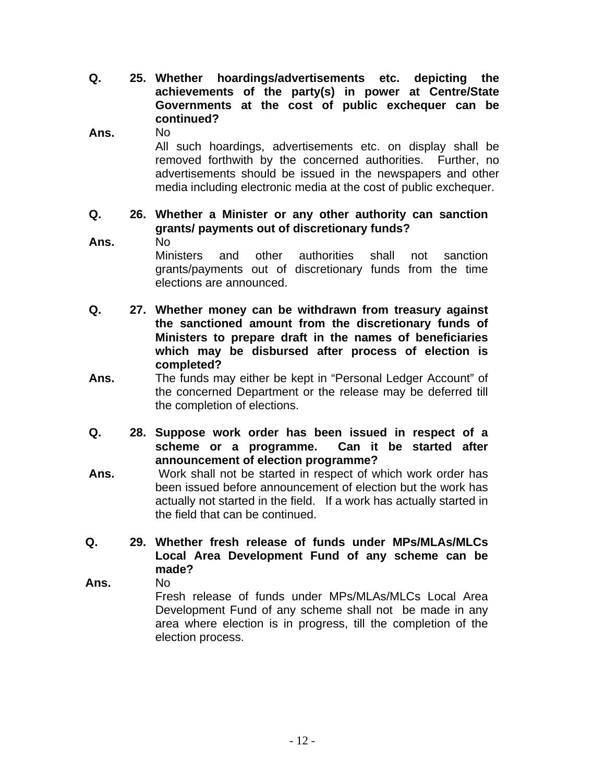**Q. Whether hoardings/advertisements etc. depicting the 25. achievements of the party(s) in power at Centre/State Governments at the cost of public exchequer can be continued?** 

**Ans.**  No

> All such hoardings, advertisements etc. on display shall be removed forthwith by the concerned authorities. Further, no advertisements should be issued in the newspapers and other media including electronic media at the cost of public exchequer.

#### **Q. Whether a Minister or any other authority can sanction 26. grants/ payments out of discretionary funds?**  No

**Ans.** 

Ministers and other authorities shall not sanction grants/payments out of discretionary funds from the time elections are announced.

- **Q. Whether money can be withdrawn from treasury against 27. the sanctioned amount from the discretionary funds of Ministers to prepare draft in the names of beneficiaries which may be disbursed after process of election is completed?**
- **Ans.**  The funds may either be kept in "Personal Ledger Account" of the concerned Department or the release may be deferred till the completion of elections.
- **Q. Suppose work order has been issued in respect of a 28. scheme or a programme. Can it be started after announcement of election programme?**
- **Ans.**  Work shall not be started in respect of which work order has been issued before announcement of election but the work has actually not started in the field. If a work has actually started in the field that can be continued.
- **Q. Whether fresh release of funds under MPs/MLAs/MLCs 29. Local Area Development Fund of any scheme can be made?**
- **Ans.**  No Fresh release of funds under MPs/MLAs/MLCs Local Area Development Fund of any scheme shall not be made in any area where election is in progress, till the completion of the election process.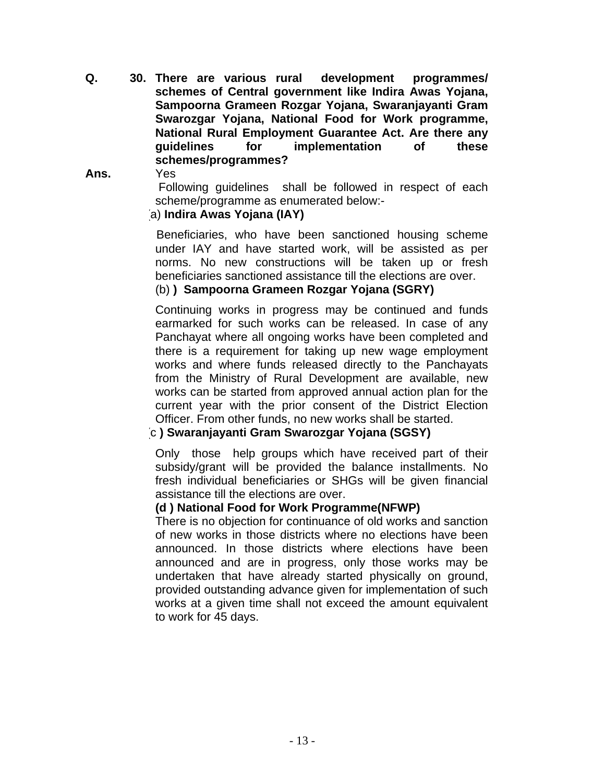**Q. There are various rural development programmes/ 30. schemes of Central government like Indira Awas Yojana, Sampoorna Grameen Rozgar Yojana, Swaranjayanti Gram Swarozgar Yojana, National Food for Work programme, National Rural Employment Guarantee Act. Are there any guidelines for implementation of these schemes/programmes?** 

#### **Ans.**  Yes

 Following guidelines shall be followed in respect of each scheme/programme as enumerated below:-

#### (a) **Indira Awas Yojana (IAY)**

Beneficiaries, who have been sanctioned housing scheme under IAY and have started work, will be assisted as per norms. No new constructions will be taken up or fresh beneficiaries sanctioned assistance till the elections are over.

#### (b) **) Sampoorna Grameen Rozgar Yojana (SGRY)**

Continuing works in progress may be continued and funds earmarked for such works can be released. In case of any Panchayat where all ongoing works have been completed and there is a requirement for taking up new wage employment works and where funds released directly to the Panchayats from the Ministry of Rural Development are available, new works can be started from approved annual action plan for the current year with the prior consent of the District Election Officer. From other funds, no new works shall be started.

#### (c **) Swaranjayanti Gram Swarozgar Yojana (SGSY)**

Only those help groups which have received part of their subsidy/grant will be provided the balance installments. No fresh individual beneficiaries or SHGs will be given financial assistance till the elections are over.

#### **(d ) National Food for Work Programme(NFWP)**

There is no objection for continuance of old works and sanction of new works in those districts where no elections have been announced. In those districts where elections have been announced and are in progress, only those works may be undertaken that have already started physically on ground, provided outstanding advance given for implementation of such works at a given time shall not exceed the amount equivalent to work for 45 days.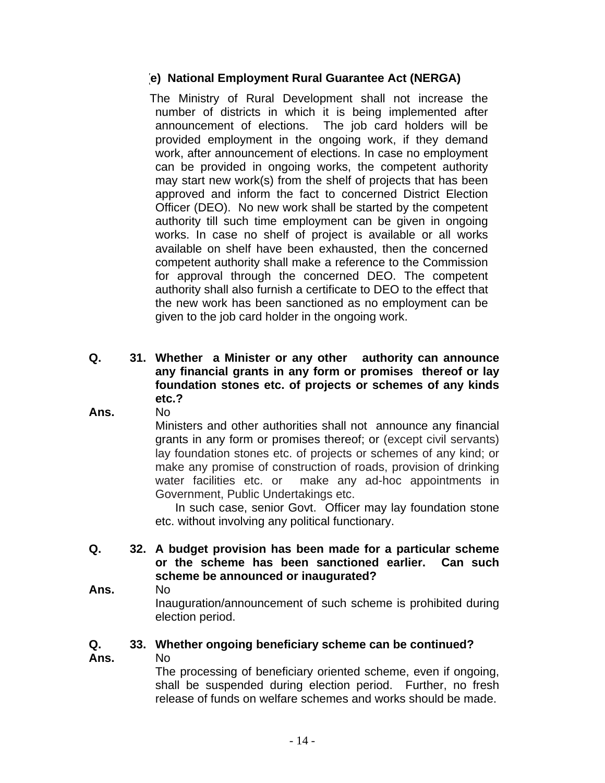### **(e) National Employment Rural Guarantee Act (NERGA)**

The Ministry of Rural Development shall not increase the number of districts in which it is being implemented after announcement of elections. The job card holders will be provided employment in the ongoing work, if they demand work, after announcement of elections. In case no employment can be provided in ongoing works, the competent authority may start new work(s) from the shelf of projects that has been approved and inform the fact to concerned District Election Officer (DEO). No new work shall be started by the competent authority till such time employment can be given in ongoing works. In case no shelf of project is available or all works available on shelf have been exhausted, then the concerned competent authority shall make a reference to the Commission for approval through the concerned DEO. The competent authority shall also furnish a certificate to DEO to the effect that the new work has been sanctioned as no employment can be given to the job card holder in the ongoing work.

### **Q. Whether a Minister or any other authority can announce 31. any financial grants in any form or promises thereof or lay foundation stones etc. of projects or schemes of any kinds etc.?**

#### **Ans.**  No

Ministers and other authorities shall not announce any financial grants in any form or promises thereof; or (except civil servants) lay foundation stones etc. of projects or schemes of any kind; or make any promise of construction of roads, provision of drinking water facilities etc. or make any ad-hoc appointments in Government, Public Undertakings etc.

 In such case, senior Govt. Officer may lay foundation stone etc. without involving any political functionary.

#### **Q. A budget provision has been made for a particular scheme 32. or the scheme has been sanctioned earlier. Can such scheme be announced or inaugurated?**

#### **Ans.**  No

Inauguration/announcement of such scheme is prohibited during election period.

### **Q. Whether ongoing beneficiary scheme can be continued? 33.**

#### **Ans.**

No

The processing of beneficiary oriented scheme, even if ongoing, shall be suspended during election period. Further, no fresh release of funds on welfare schemes and works should be made.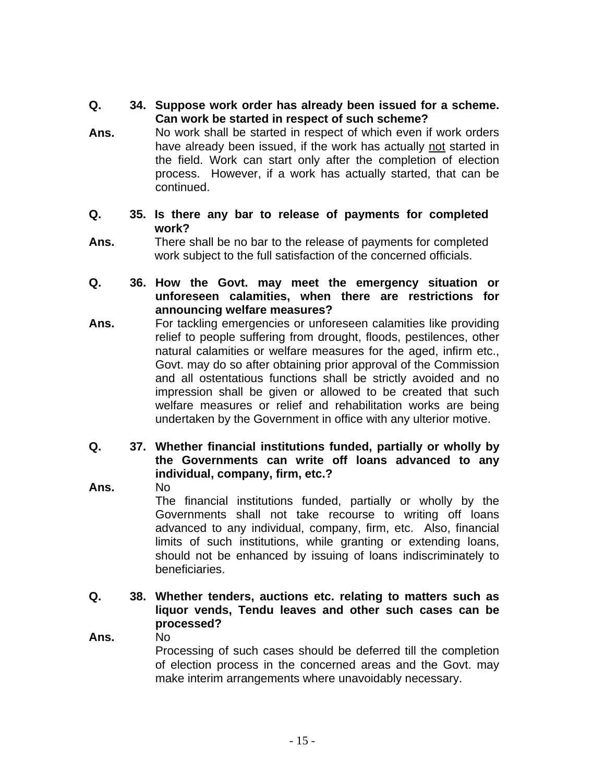- Q. 34. Suppose work order has already been issued for a scheme. **Can work be started in respect of such scheme?**
- **Ans.**  No work shall be started in respect of which even if work orders have already been issued, if the work has actually not started in the field. Work can start only after the completion of election process. However, if a work has actually started, that can be continued.
- **Q. Is there any bar to release of payments for completed 35. work?**
- **Ans.**  There shall be no bar to the release of payments for completed work subject to the full satisfaction of the concerned officials.
- **Q. How the Govt. may meet the emergency situation or 36. unforeseen calamities, when there are restrictions for announcing welfare measures?**
- **Ans.**  For tackling emergencies or unforeseen calamities like providing relief to people suffering from drought, floods, pestilences, other natural calamities or welfare measures for the aged, infirm etc., Govt. may do so after obtaining prior approval of the Commission and all ostentatious functions shall be strictly avoided and no impression shall be given or allowed to be created that such welfare measures or relief and rehabilitation works are being undertaken by the Government in office with any ulterior motive.
- **Q. Whether financial institutions funded, partially or wholly by 37. the Governments can write off loans advanced to any individual, company, firm, etc.?**

**Ans.** 

**Ans.** 

No The financial institutions funded, partially or wholly by the Governments shall not take recourse to writing off loans advanced to any individual, company, firm, etc. Also, financial limits of such institutions, while granting or extending loans, should not be enhanced by issuing of loans indiscriminately to beneficiaries.

**Q. Whether tenders, auctions etc. relating to matters such as 38. liquor vends, Tendu leaves and other such cases can be processed?** 

No Processing of such cases should be deferred till the completion of election process in the concerned areas and the Govt. may make interim arrangements where unavoidably necessary.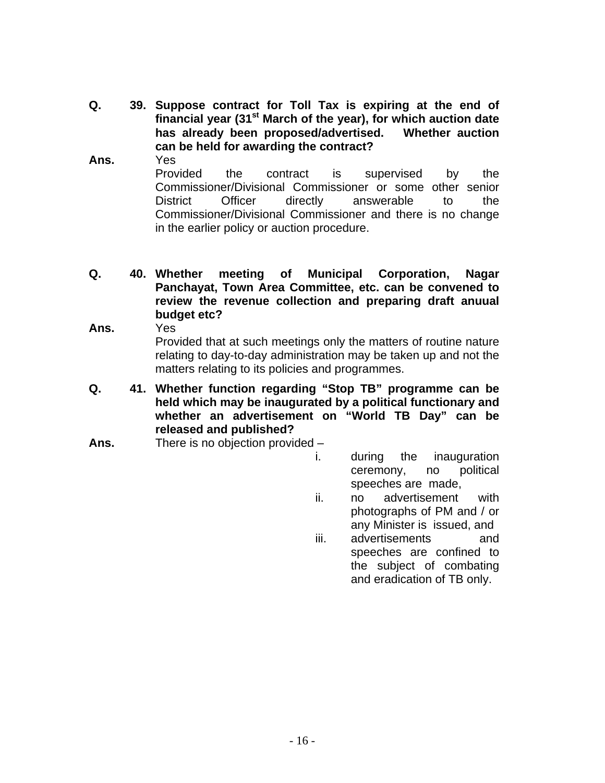- **Q. Suppose contract for Toll Tax is expiring at the end of 39. financial year (31st March of the year), for which auction date has already been proposed/advertised. Whether auction can be held for awarding the contract?**
- **Ans.**  Yes Provided the contract is supervised by the Commissioner/Divisional Commissioner or some other senior District Officer directly answerable to the Commissioner/Divisional Commissioner and there is no change

in the earlier policy or auction procedure.

- **Q. Whether meeting of Municipal Corporation, Nagar Panchayat, Town Area Committee, etc. can be convened to review the revenue collection and preparing draft anuual budget etc? 40.**
- **Ans.**  Yes Provided that at such meetings only the matters of routine nature relating to day-to-day administration may be taken up and not the matters relating to its policies and programmes.
- **Q. Whether function regarding "Stop TB" programme can be 41. held which may be inaugurated by a political functionary and whether an advertisement on "World TB Day" can be released and published?**
- **Ans.**  There is no objection provided –
	- i. during the inauguration ceremony, no political speeches are made,
	- ii. no advertisement with photographs of PM and / or any Minister is issued, and
	- iii. advertisements and speeches are confined to the subject of combating and eradication of TB only.
	-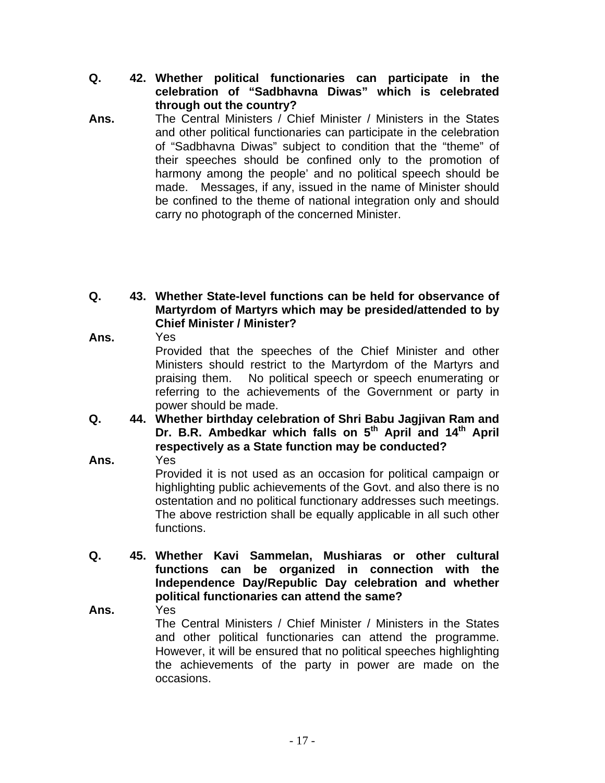- **Q. Whether political functionaries can participate in the 42. celebration of "Sadbhavna Diwas" which is celebrated through out the country?**
- **Ans.**  The Central Ministers / Chief Minister / Ministers in the States and other political functionaries can participate in the celebration of "Sadbhavna Diwas" subject to condition that the "theme" of their speeches should be confined only to the promotion of harmony among the people' and no political speech should be made. Messages, if any, issued in the name of Minister should be confined to the theme of national integration only and should carry no photograph of the concerned Minister.
- **Q. Whether State-level functions can be held for observance of 43. Martyrdom of Martyrs which may be presided/attended to by Chief Minister / Minister? Ans.** 
	- Yes Provided that the speeches of the Chief Minister and other Ministers should restrict to the Martyrdom of the Martyrs and praising them. No political speech or speech enumerating or referring to the achievements of the Government or party in power should be made.
- **Q. Whether birthday celebration of Shri Babu Jagjivan Ram and 44.**  Dr. B.R. Ambedkar which falls on 5<sup>th</sup> April and 14<sup>th</sup> April **respectively as a State function may be conducted?**

**Ans.**  Yes

Provided it is not used as an occasion for political campaign or highlighting public achievements of the Govt. and also there is no ostentation and no political functionary addresses such meetings. The above restriction shall be equally applicable in all such other functions.

**Q. Whether Kavi Sammelan, Mushiaras or other cultural 45. functions can be organized in connection with the Independence Day/Republic Day celebration and whether political functionaries can attend the same?** 

**Ans.**  Yes The Central Ministers / Chief Minister / Ministers in the States and other political functionaries can attend the programme. However, it will be ensured that no political speeches highlighting the achievements of the party in power are made on the occasions.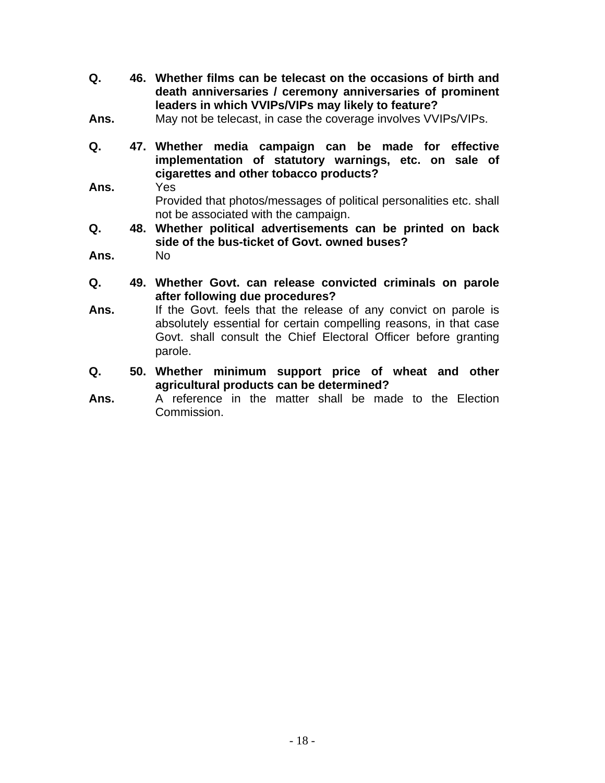- **Q. Whether films can be telecast on the occasions of birth and 46. death anniversaries / ceremony anniversaries of prominent leaders in which VVIPs/VIPs may likely to feature?**
- **Ans.**  May not be telecast, in case the coverage involves VVIPs/VIPs.
- **Q. Whether media campaign can be made for effective 47. implementation of statutory warnings, etc. on sale of cigarettes and other tobacco products? Ans.**  Yes

Provided that photos/messages of political personalities etc. shall not be associated with the campaign.

- **Q. Whether political advertisements can be printed on back 48. side of the bus-ticket of Govt. owned buses? Ans.**  No
- 
- **Q. Whether Govt. can release convicted criminals on parole 49. after following due procedures?**
- **Ans.**  If the Govt. feels that the release of any convict on parole is absolutely essential for certain compelling reasons, in that case Govt. shall consult the Chief Electoral Officer before granting parole.
- **Q. Whether minimum support price of wheat and other 50. agricultural products can be determined?**
- **Ans.**  A reference in the matter shall be made to the Election Commission.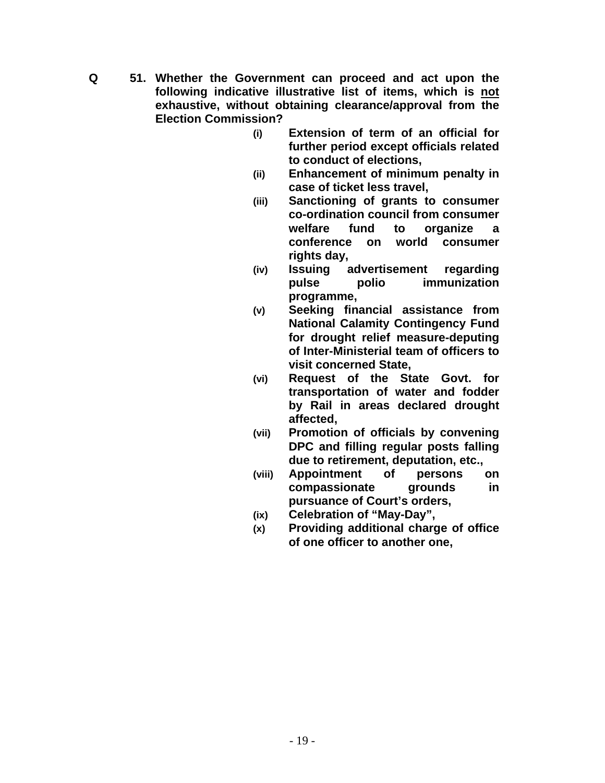- **Q 51. Whether the Government can proceed and act upon the following indicative illustrative list of items, which is not exhaustive, without obtaining clearance/approval from the Election Commission?** 
	- **(i) Extension of term of an official for further period except officials related to conduct of elections,**
	- **(ii) Enhancement of minimum penalty in case of ticket less travel,**
	- **(iii) Sanctioning of grants to consumer co-ordination council from consumer welfare fund to organize a conference on world consumer rights day,**
	- **(iv) Issuing advertisement regarding pulse polio immunization programme,**
	- **(v) Seeking financial assistance from National Calamity Contingency Fund for drought relief measure-deputing of Inter-Ministerial team of officers to visit concerned State,**
	- **(vi) Request of the State Govt. for transportation of water and fodder by Rail in areas declared drought affected,**
	- **(vii) Promotion of officials by convening DPC and filling regular posts falling due to retirement, deputation, etc.,**
	- **(viii) Appointment of persons on compassionate grounds in pursuance of Court's orders,**
	- **(ix) Celebration of "May-Day",**
	- **(x) Providing additional charge of office of one officer to another one,**

- 19 -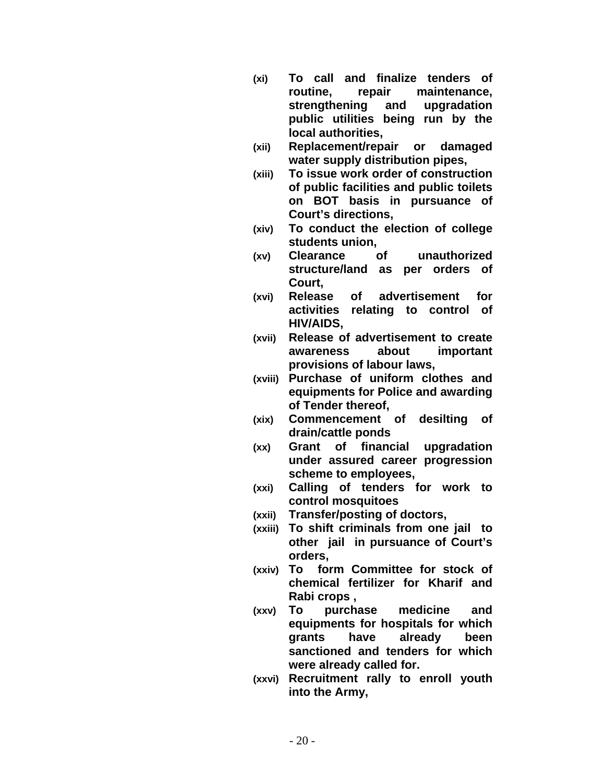- **(xi) To call and finalize tenders of routine, repair maintenance, strengthening and upgradation public utilities being run by the local authorities,**
- **(xii) Replacement/repair or damaged water supply distribution pipes,**
- **(xiii) To issue work order of construction of public facilities and public toilets on BOT basis in pursuance of Court's directions,**
- **(xiv) To conduct the election of college students union,**
- **(xv) Clearance of unauthorized structure/land as per orders of Court,**
- **(xvi) Release of advertisement for activities relating to control of HIV/AIDS,**
- **(xvii) Release of advertisement to create awareness about important provisions of labour laws,**
- **(xviii) Purchase of uniform clothes and equipments for Police and awarding of Tender thereof,**
- **(xix) Commencement of desilting of drain/cattle ponds**
- **(xx) Grant of financial upgradation under assured career progression scheme to employees,**
- **(xxi) Calling of tenders for work to control mosquitoes**
- **(xxii) Transfer/posting of doctors,**
- **(xxiii) To shift criminals from one jail to other jail in pursuance of Court's orders,**
- **(xxiv) To form Committee for stock of chemical fertilizer for Kharif and Rabi crops ,**
- **(xxv) To purchase medicine and equipments for hospitals for which grants have already been sanctioned and tenders for which were already called for.**
- **(xxvi) Recruitment rally to enroll youth into the Army,**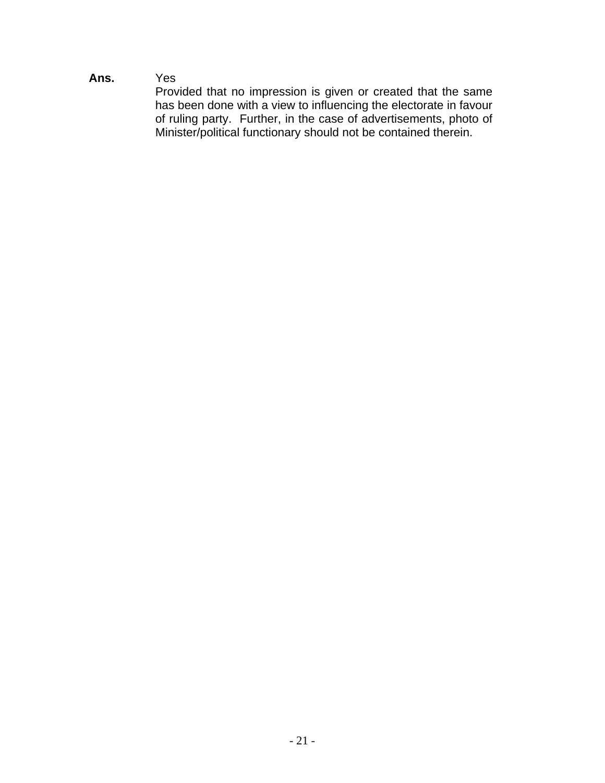## **Ans.** Yes

Provided that no impression is given or created that the same has been done with a view to influencing the electorate in favour of ruling party. Further, in the case of advertisements, photo of Minister/political functionary should not be contained therein.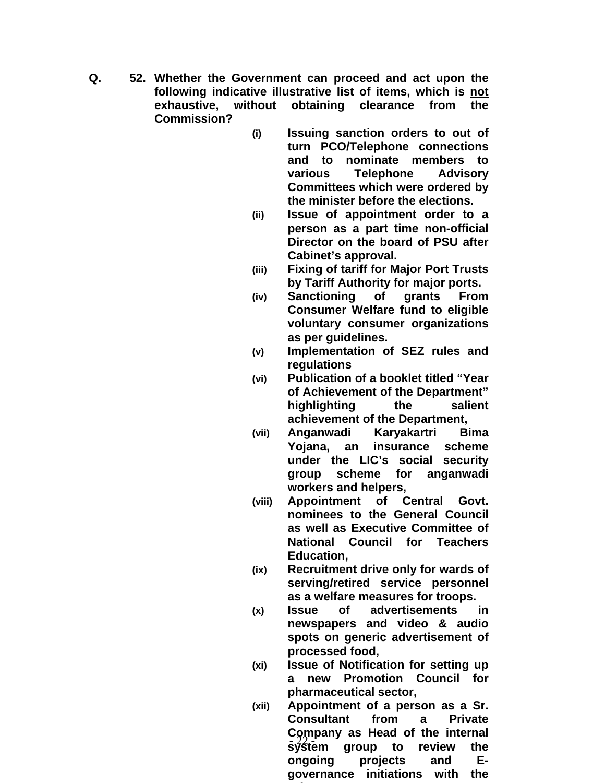- **Q. 52. Whether the Government can proceed and act upon the following indicative illustrative list of items, which is not exhaustive, without obtaining clearance from the Commission?** 
	- **(i) Issuing sanction orders to out of turn PCO/Telephone connections and to nominate members to various Telephone Advisory Committees which were ordered by the minister before the elections.**
	- **(ii) Issue of appointment order to a person as a part time non-official Director on the board of PSU after Cabinet's approval.**
	- **(iii) Fixing of tariff for Major Port Trusts by Tariff Authority for major ports.**
	- **(iv) Sanctioning of grants From Consumer Welfare fund to eligible voluntary consumer organizations as per guidelines.**
	- **(v) Implementation of SEZ rules and regulations**
	- **(vi) Publication of a booklet titled "Year of Achievement of the Department" highlighting the salient achievement of the Department,**
	- **(vii) Anganwadi Karyakartri Bima Yojana, an insurance scheme under the LIC's social security group scheme for anganwadi workers and helpers,**
	- **(viii) Appointment of Central Govt. nominees to the General Council as well as Executive Committee of National Council for Teachers Education,**
	- **(ix) Recruitment drive only for wards of serving/retired service personnel as a welfare measures for troops.**
	- **(x) Issue of advertisements in newspapers and video & audio spots on generic advertisement of processed food,**
	- **(xi) Issue of Notification for setting up a new Promotion Council for pharmaceutical sector,**
- $\frac{2}{2}$ **(xii) Appointment of a person as a Sr. Consultant from a Private Company as Head of the internal system group to review the ongoing projects and Egovernance initiations with the**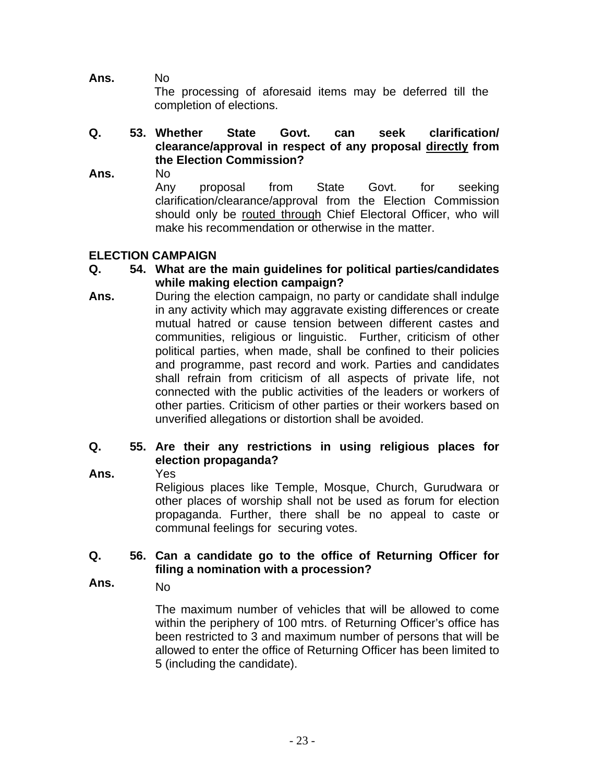**Ans.** No

The processing of aforesaid items may be deferred till the completion of elections.

#### **Q. Whether State Govt. can seek clarification/ 53. clearance/approval in respect of any proposal directly from the Election Commission? Ans.**

No Any proposal from State Govt. for seeking clarification/clearance/approval from the Election Commission should only be routed through Chief Electoral Officer, who will make his recommendation or otherwise in the matter.

### **ELECTION CAMPAIGN**

- **Q. What are the main guidelines for political parties/candidates 54. while making election campaign?**
- **Ans.**  During the election campaign, no party or candidate shall indulge in any activity which may aggravate existing differences or create mutual hatred or cause tension between different castes and communities, religious or linguistic. Further, criticism of other political parties, when made, shall be confined to their policies and programme, past record and work. Parties and candidates shall refrain from criticism of all aspects of private life, not connected with the public activities of the leaders or workers of other parties. Criticism of other parties or their workers based on unverified allegations or distortion shall be avoided.

#### **Q. Are their any restrictions in using religious places for 55. election propaganda?**  Yes

**Ans.** 

Religious places like Temple, Mosque, Church, Gurudwara or other places of worship shall not be used as forum for election propaganda. Further, there shall be no appeal to caste or communal feelings for securing votes.

#### **Q. Can a candidate go to the office of Returning Officer for 56. filing a nomination with a procession?**

**Ans.** 

No

The maximum number of vehicles that will be allowed to come within the periphery of 100 mtrs. of Returning Officer's office has been restricted to 3 and maximum number of persons that will be allowed to enter the office of Returning Officer has been limited to 5 (including the candidate).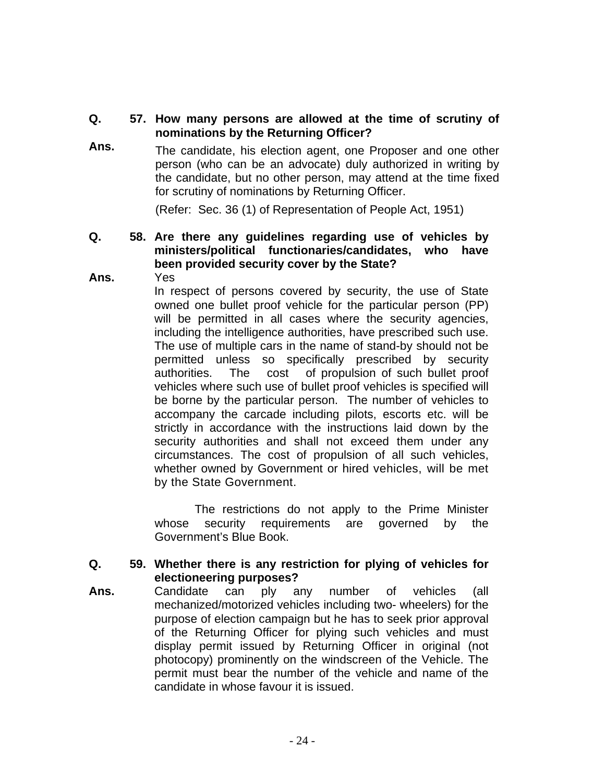#### Q. 57. How many persons are allowed at the time of scrutiny of **nominations by the Returning Officer?**

**Ans.**  The candidate, his election agent, one Proposer and one other person (who can be an advocate) duly authorized in writing by the candidate, but no other person, may attend at the time fixed for scrutiny of nominations by Returning Officer.

(Refer: Sec. 36 (1) of Representation of People Act, 1951)

#### Q. 58. Are there any guidelines regarding use of vehicles by **ministers/political functionaries/candidates, who have been provided security cover by the State?**  Yes

**Ans.** 

In respect of persons covered by security, the use of State owned one bullet proof vehicle for the particular person (PP) will be permitted in all cases where the security agencies, including the intelligence authorities, have prescribed such use. The use of multiple cars in the name of stand-by should not be permitted unless so specifically prescribed by security authorities. The cost of propulsion of such bullet proof vehicles where such use of bullet proof vehicles is specified will be borne by the particular person. The number of vehicles to accompany the carcade including pilots, escorts etc. will be strictly in accordance with the instructions laid down by the security authorities and shall not exceed them under any circumstances. The cost of propulsion of all such vehicles, whether owned by Government or hired vehicles, will be met by the State Government.

The restrictions do not apply to the Prime Minister whose security requirements are governed by the Government's Blue Book.

### **Q. Whether there is any restriction for plying of vehicles for 59. electioneering purposes?**

**Ans.**  Candidate can ply any number of vehicles (all mechanized/motorized vehicles including two- wheelers) for the purpose of election campaign but he has to seek prior approval of the Returning Officer for plying such vehicles and must display permit issued by Returning Officer in original (not photocopy) prominently on the windscreen of the Vehicle. The permit must bear the number of the vehicle and name of the candidate in whose favour it is issued.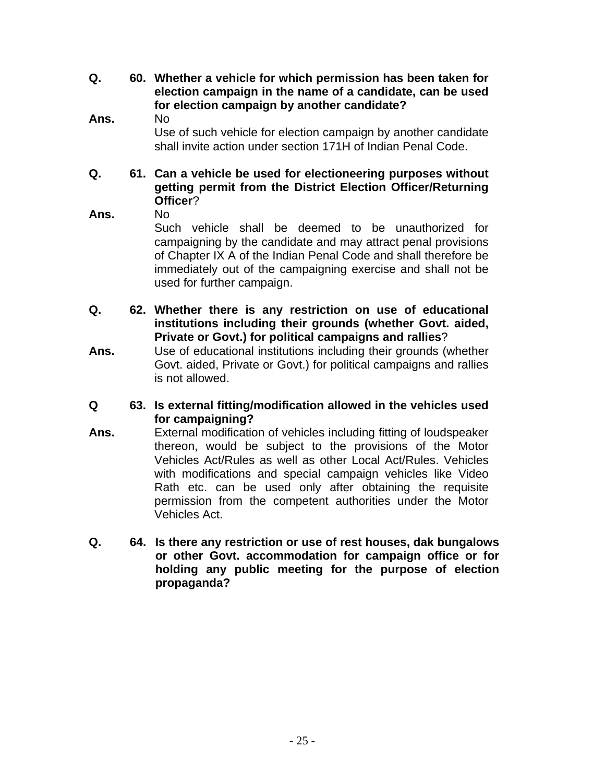- **Q. Whether a vehicle for which permission has been taken for 60. election campaign in the name of a candidate, can be used for election campaign by another candidate?**
- **Ans.**  No

Use of such vehicle for election campaign by another candidate shall invite action under section 171H of Indian Penal Code.

**Q. Can a vehicle be used for electioneering purposes without 61. getting permit from the District Election Officer/Returning Officer**?

**Ans.**  No

Such vehicle shall be deemed to be unauthorized for campaigning by the candidate and may attract penal provisions of Chapter IX A of the Indian Penal Code and shall therefore be immediately out of the campaigning exercise and shall not be used for further campaign.

- **Q. Whether there is any restriction on use of educational 62. institutions including their grounds (whether Govt. aided, Private or Govt.) for political campaigns and rallies**?
- **Ans.**  Use of educational institutions including their grounds (whether Govt. aided, Private or Govt.) for political campaigns and rallies is not allowed.
- **Q Is external fitting/modification allowed in the vehicles used 63. for campaigning?**
- **Ans.**  External modification of vehicles including fitting of loudspeaker thereon, would be subject to the provisions of the Motor Vehicles Act/Rules as well as other Local Act/Rules. Vehicles with modifications and special campaign vehicles like Video Rath etc. can be used only after obtaining the requisite permission from the competent authorities under the Motor Vehicles Act.
- **Q. 64. Is there any restriction or use of rest houses, dak bungalows or other Govt. accommodation for campaign office or for holding any public meeting for the purpose of election propaganda?**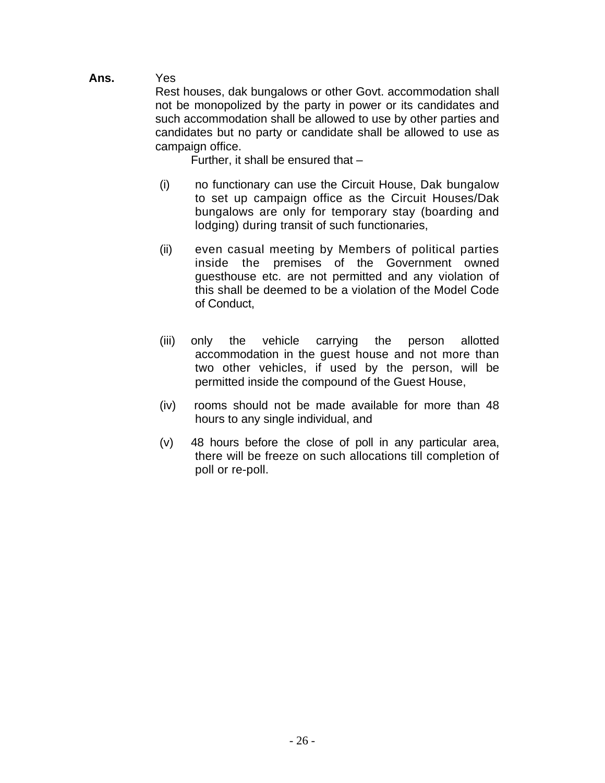### **Ans.** Yes

Rest houses, dak bungalows or other Govt. accommodation shall not be monopolized by the party in power or its candidates and such accommodation shall be allowed to use by other parties and candidates but no party or candidate shall be allowed to use as campaign office.

Further, it shall be ensured that –

- (i) no functionary can use the Circuit House, Dak bungalow to set up campaign office as the Circuit Houses/Dak bungalows are only for temporary stay (boarding and lodging) during transit of such functionaries,
- (ii) even casual meeting by Members of political parties inside the premises of the Government owned guesthouse etc. are not permitted and any violation of this shall be deemed to be a violation of the Model Code of Conduct,
- (iii) only the vehicle carrying the person allotted accommodation in the guest house and not more than two other vehicles, if used by the person, will be permitted inside the compound of the Guest House,
- (iv) rooms should not be made available for more than 48 hours to any single individual, and
- (v) 48 hours before the close of poll in any particular area, there will be freeze on such allocations till completion of poll or re-poll.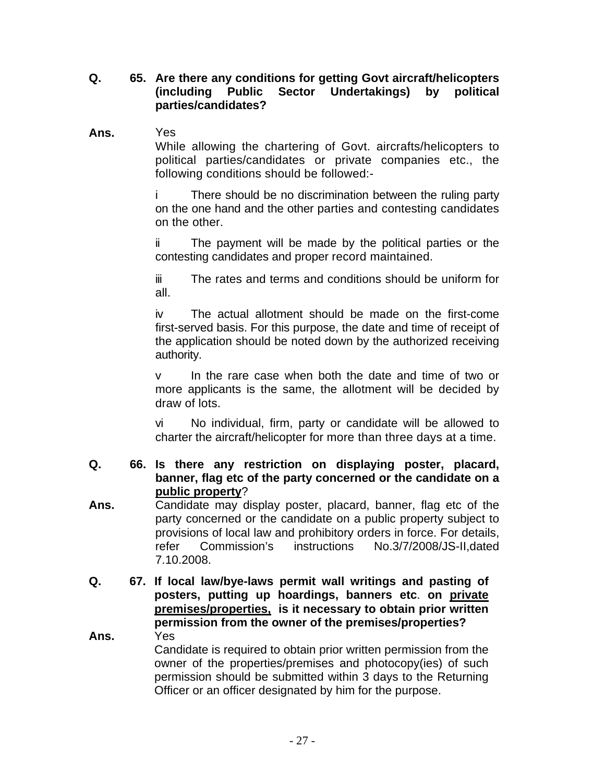#### **Q. Are there any conditions for getting Govt aircraft/helicopters 65. (including Public Sector Undertakings) by political parties/candidates?**

#### **Ans.**  Yes

While allowing the chartering of Govt. aircrafts/helicopters to political parties/candidates or private companies etc., the following conditions should be followed:-

i There should be no discrimination between the ruling party on the one hand and the other parties and contesting candidates on the other.

ii The payment will be made by the political parties or the contesting candidates and proper record maintained.

iii The rates and terms and conditions should be uniform for all.

iv The actual allotment should be made on the first-come first-served basis. For this purpose, the date and time of receipt of the application should be noted down by the authorized receiving authority.

v In the rare case when both the date and time of two or more applicants is the same, the allotment will be decided by draw of lots.

vi No individual, firm, party or candidate will be allowed to charter the aircraft/helicopter for more than three days at a time.

- **Q. Is there any restriction on displaying poster, placard, 66. banner, flag etc of the party concerned or the candidate on a public property**?
- **Ans.**  Candidate may display poster, placard, banner, flag etc of the party concerned or the candidate on a public property subject to provisions of local law and prohibitory orders in force. For details, refer Commission's instructions No.3/7/2008/JS-II,dated 7.10.2008.
- **Q. If local law/bye-laws permit wall writings and pasting of 67. posters, putting up hoardings, banners etc**. **on private premises/properties, is it necessary to obtain prior written permission from the owner of the premises/properties? Ans.**  Yes

Candidate is required to obtain prior written permission from the owner of the properties/premises and photocopy(ies) of such permission should be submitted within 3 days to the Returning Officer or an officer designated by him for the purpose.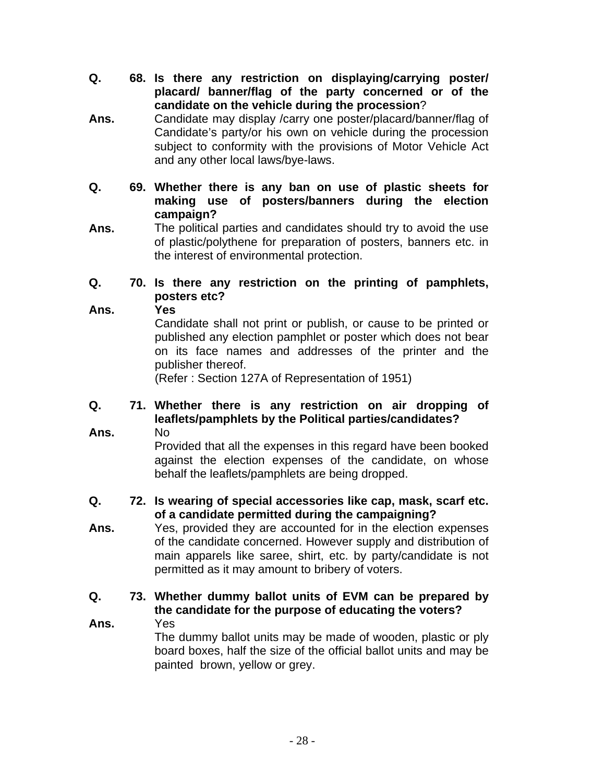- **Q. Is there any restriction on displaying/carrying poster/ 68. placard/ banner/flag of the party concerned or of the candidate on the vehicle during the procession**?
- **Ans.**  Candidate may display /carry one poster/placard/banner/flag of Candidate's party/or his own on vehicle during the procession subject to conformity with the provisions of Motor Vehicle Act and any other local laws/bye-laws.
- **Q. Whether there is any ban on use of plastic sheets for 69. making use of posters/banners during the election campaign?**
- **Ans.**  The political parties and candidates should try to avoid the use of plastic/polythene for preparation of posters, banners etc. in the interest of environmental protection.

### **Q. Is there any restriction on the printing of pamphlets, 70. posters etc?**

#### **Ans. Yes**

Candidate shall not print or publish, or cause to be printed or published any election pamphlet or poster which does not bear on its face names and addresses of the printer and the publisher thereof.

(Refer : Section 127A of Representation of 1951)

#### **Q. Whether there is any restriction on air dropping of 71. leaflets/pamphlets by the Political parties/candidates?**  No

**Ans.** 

Provided that all the expenses in this regard have been booked against the election expenses of the candidate, on whose behalf the leaflets/pamphlets are being dropped.

### **Q. Is wearing of special accessories like cap, mask, scarf etc. 72. of a candidate permitted during the campaigning?**

**Ans.**  Yes, provided they are accounted for in the election expenses of the candidate concerned. However supply and distribution of main apparels like saree, shirt, etc. by party/candidate is not permitted as it may amount to bribery of voters.

### **Q. Whether dummy ballot units of EVM can be prepared by 73. the candidate for the purpose of educating the voters?**

#### **Ans.**  Yes The dummy ballot units may be made of wooden, plastic or ply board boxes, half the size of the official ballot units and may be painted brown, yellow or grey.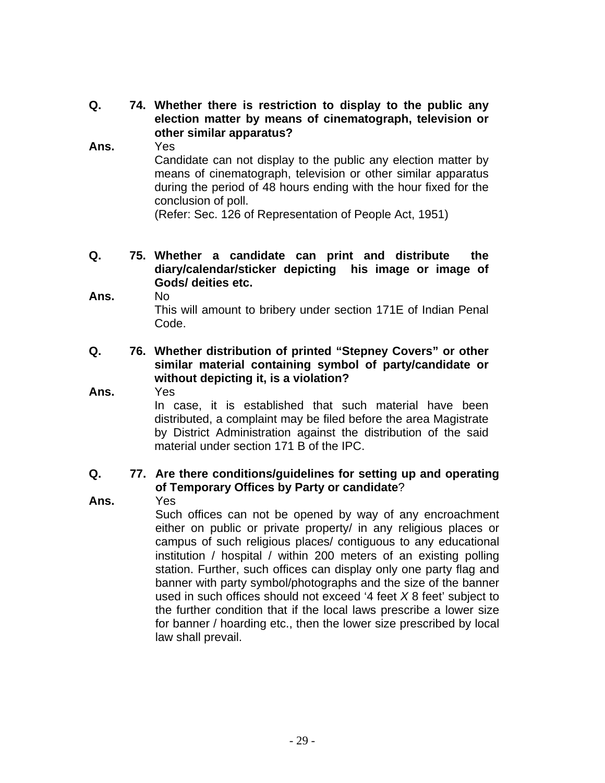**Q. Whether there is restriction to display to the public any 74. election matter by means of cinematograph, television or other similar apparatus?** 

**Ans.**  Yes Candidate can not display to the public any election matter by means of cinematograph, television or other similar apparatus during the period of 48 hours ending with the hour fixed for the conclusion of poll.

(Refer: Sec. 126 of Representation of People Act, 1951)

#### **Q. Whether a candidate can print and distribute the 75. diary/calendar/sticker depicting his image or image of Gods/ deities etc.**

#### **Ans.**  No

This will amount to bribery under section 171E of Indian Penal Code.

#### **Q. Whether distribution of printed "Stepney Covers" or other 76. similar material containing symbol of party/candidate or without depicting it, is a violation?**  Yes

**Ans.** 

In case, it is established that such material have been distributed, a complaint may be filed before the area Magistrate by District Administration against the distribution of the said material under section 171 B of the IPC.

#### Q. 77. Are there conditions/guidelines for setting up and operating **of Temporary Offices by Party or candidate**?

#### **Ans.**

Yes

Such offices can not be opened by way of any encroachment either on public or private property/ in any religious places or campus of such religious places/ contiguous to any educational institution / hospital / within 200 meters of an existing polling station. Further, such offices can display only one party flag and banner with party symbol/photographs and the size of the banner used in such offices should not exceed '4 feet *X* 8 feet' subject to the further condition that if the local laws prescribe a lower size for banner / hoarding etc., then the lower size prescribed by local law shall prevail.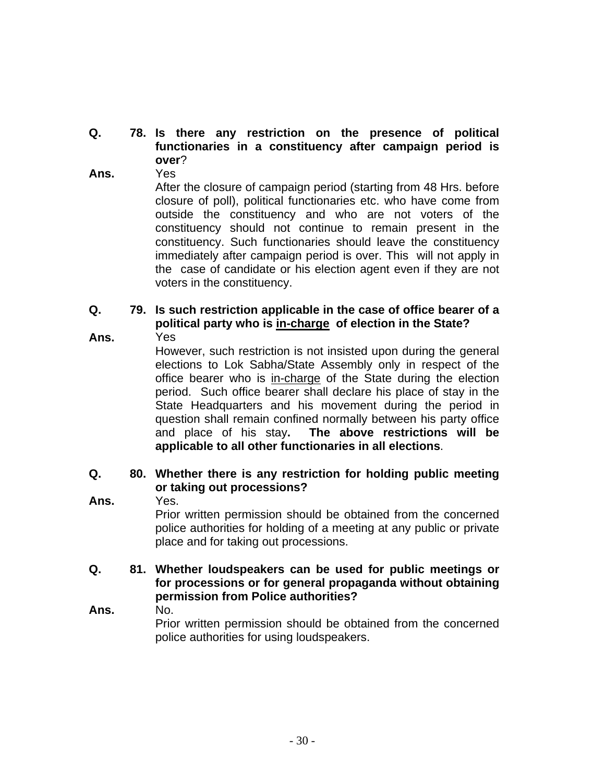### **Q. Is there any restriction on the presence of political 78. functionaries in a constituency after campaign period is over**?

**Ans.**  Yes

After the closure of campaign period (starting from 48 Hrs. before closure of poll), political functionaries etc. who have come from outside the constituency and who are not voters of the constituency should not continue to remain present in the constituency. Such functionaries should leave the constituency immediately after campaign period is over. This will not apply in the case of candidate or his election agent even if they are not voters in the constituency.

#### **Q. Is such restriction applicable in the case of office bearer of a 79. political party who is in-charge of election in the State?**  Yes

**Ans.** 

However, such restriction is not insisted upon during the general elections to Lok Sabha/State Assembly only in respect of the office bearer who is in-charge of the State during the election period. Such office bearer shall declare his place of stay in the State Headquarters and his movement during the period in question shall remain confined normally between his party office and place of his stay**. The above restrictions will be applicable to all other functionaries in all elections**.

#### **Q. Whether there is any restriction for holding public meeting 80. or taking out processions?**  Yes.

**Ans.** 

Prior written permission should be obtained from the concerned police authorities for holding of a meeting at any public or private place and for taking out processions.

### **Q. Whether loudspeakers can be used for public meetings or 81. for processions or for general propaganda without obtaining permission from Police authorities?**

**Ans.**  No.

Prior written permission should be obtained from the concerned police authorities for using loudspeakers.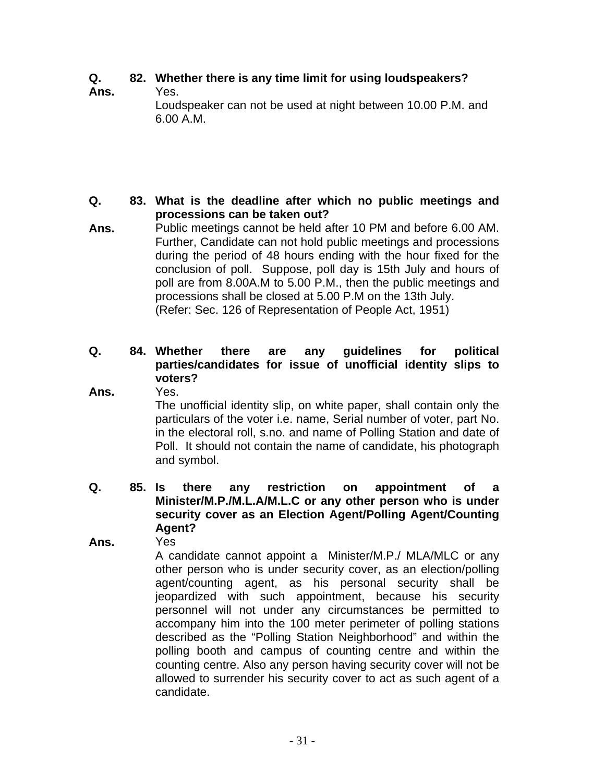### **Q. Whether there is any time limit for using loudspeakers? 82.**

#### **Ans.**  Yes.

Loudspeaker can not be used at night between 10.00 P.M. and 6.00 A.M.

#### **Q. What is the deadline after which no public meetings and 83. processions can be taken out?**

**Ans.** Public meetings cannot be held after 10 PM and before 6.00 AM. Further, Candidate can not hold public meetings and processions during the period of 48 hours ending with the hour fixed for the conclusion of poll. Suppose, poll day is 15th July and hours of poll are from 8.00A.M to 5.00 P.M., then the public meetings and processions shall be closed at 5.00 P.M on the 13th July. (Refer: Sec. 126 of Representation of People Act, 1951)

#### **Q. Whether there are any guidelines for political 84. parties/candidates for issue of unofficial identity slips to voters?**  Yes.

**Ans.** 

The unofficial identity slip, on white paper, shall contain only the particulars of the voter i.e. name, Serial number of voter, part No. in the electoral roll, s.no. and name of Polling Station and date of Poll. It should not contain the name of candidate, his photograph and symbol.

#### **Q. Is there any restriction on appointment of a Minister/M.P./M.L.A/M.L.C or any other person who is under security cover as an Election Agent/Polling Agent/Counting Agent? 85.**

**Ans.** 

Yes

A candidate cannot appoint a Minister/M.P./ MLA/MLC or any other person who is under security cover, as an election/polling agent/counting agent, as his personal security shall be jeopardized with such appointment, because his security personnel will not under any circumstances be permitted to accompany him into the 100 meter perimeter of polling stations described as the "Polling Station Neighborhood" and within the polling booth and campus of counting centre and within the counting centre. Also any person having security cover will not be allowed to surrender his security cover to act as such agent of a candidate.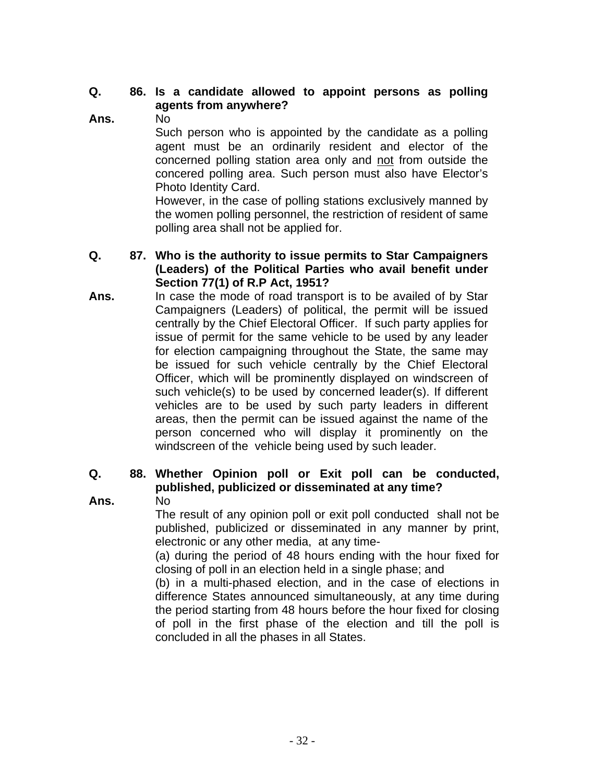### **Q. Is a candidate allowed to appoint persons as polling 86. agents from anywhere?**

**Ans.** 

No

Such person who is appointed by the candidate as a polling agent must be an ordinarily resident and elector of the concerned polling station area only and not from outside the concered polling area. Such person must also have Elector's Photo Identity Card.

However, in the case of polling stations exclusively manned by the women polling personnel, the restriction of resident of same polling area shall not be applied for.

#### **Q. Who is the authority to issue permits to Star Campaigners 87. (Leaders) of the Political Parties who avail benefit under Section 77(1) of R.P Act, 1951?**

**Ans.**  In case the mode of road transport is to be availed of by Star Campaigners (Leaders) of political, the permit will be issued centrally by the Chief Electoral Officer. If such party applies for issue of permit for the same vehicle to be used by any leader for election campaigning throughout the State, the same may be issued for such vehicle centrally by the Chief Electoral Officer, which will be prominently displayed on windscreen of such vehicle(s) to be used by concerned leader(s). If different vehicles are to be used by such party leaders in different areas, then the permit can be issued against the name of the person concerned who will display it prominently on the windscreen of the vehicle being used by such leader.

#### **Q. Whether Opinion poll or Exit poll can be conducted, 88. published, publicized or disseminated at any time? Ans.**  No

The result of any opinion poll or exit poll conducted shall not be published, publicized or disseminated in any manner by print, electronic or any other media, at any time-

(a) during the period of 48 hours ending with the hour fixed for closing of poll in an election held in a single phase; and

(b) in a multi-phased election, and in the case of elections in difference States announced simultaneously, at any time during the period starting from 48 hours before the hour fixed for closing of poll in the first phase of the election and till the poll is concluded in all the phases in all States.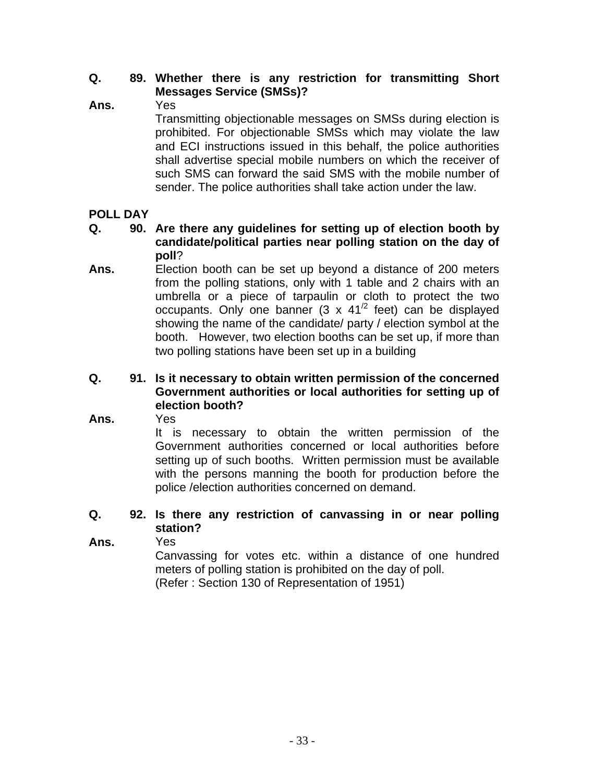### **Q. Whether there is any restriction for transmitting Short 89. Messages Service (SMSs)?**

**Ans.**  Yes

Transmitting objectionable messages on SMSs during election is prohibited. For objectionable SMSs which may violate the law and ECI instructions issued in this behalf, the police authorities shall advertise special mobile numbers on which the receiver of such SMS can forward the said SMS with the mobile number of sender. The police authorities shall take action under the law.

### **POLL DAY**

- **Q. Are there any guidelines for setting up of election booth by 90. candidate/political parties near polling station on the day of poll**?
- **Ans.**  Election booth can be set up beyond a distance of 200 meters from the polling stations, only with 1 table and 2 chairs with an umbrella or a piece of tarpaulin or cloth to protect the two occupants. Only one banner  $(3 \times 41^2)$  feet) can be displayed showing the name of the candidate/ party / election symbol at the booth. However, two election booths can be set up, if more than two polling stations have been set up in a building

#### **Q. Is it necessary to obtain written permission of the concerned 91. Government authorities or local authorities for setting up of election booth?**

**Ans.** 

Yes

Yes

It is necessary to obtain the written permission of the Government authorities concerned or local authorities before setting up of such booths. Written permission must be available with the persons manning the booth for production before the police /election authorities concerned on demand.

#### **Q. Is there any restriction of canvassing in or near polling 92. station?**

**Ans.** 

Canvassing for votes etc. within a distance of one hundred meters of polling station is prohibited on the day of poll. (Refer : Section 130 of Representation of 1951)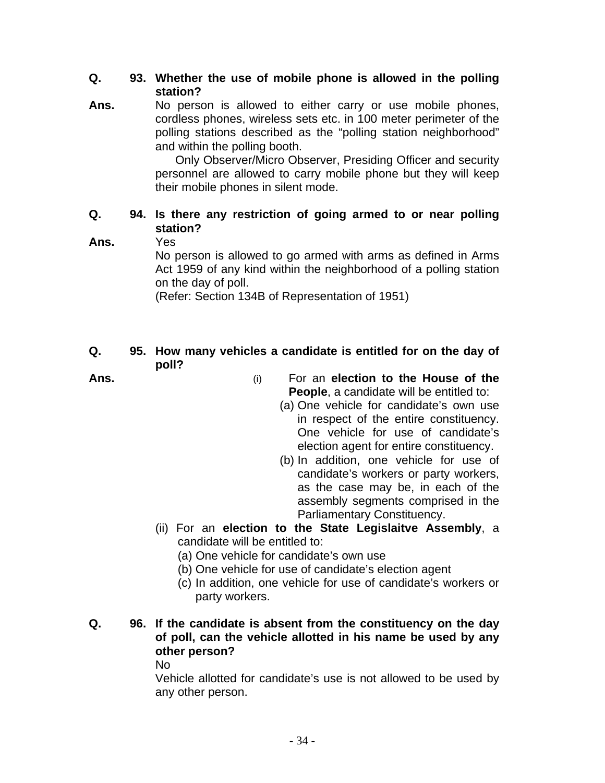#### **Q. Whether the use of mobile phone is allowed in the polling 93. station?**

**Ans.**  No person is allowed to either carry or use mobile phones, cordless phones, wireless sets etc. in 100 meter perimeter of the polling stations described as the "polling station neighborhood" and within the polling booth.

 Only Observer/Micro Observer, Presiding Officer and security personnel are allowed to carry mobile phone but they will keep their mobile phones in silent mode.

#### **Q. Is there any restriction of going armed to or near polling 94. station?**  Yes

**Ans.** 

No person is allowed to go armed with arms as defined in Arms Act 1959 of any kind within the neighborhood of a polling station on the day of poll.

(Refer: Section 134B of Representation of 1951)

#### **Q. How many vehicles a candidate is entitled for on the day of 95. poll?**

**Ans.** 

- (i) For an **election to the House of the People**, a candidate will be entitled to:
	- (a) One vehicle for candidate's own use in respect of the entire constituency. One vehicle for use of candidate's election agent for entire constituency.
	- (b) In addition, one vehicle for use of candidate's workers or party workers, as the case may be, in each of the assembly segments comprised in the Parliamentary Constituency.
- (ii) For an **election to the State Legislaitve Assembly**, a candidate will be entitled to:
	- (a) One vehicle for candidate's own use
	- (b) One vehicle for use of candidate's election agent
	- (c) In addition, one vehicle for use of candidate's workers or party workers.

#### **Q. If the candidate is absent from the constituency on the day 96. of poll, can the vehicle allotted in his name be used by any other person?**  No

Vehicle allotted for candidate's use is not allowed to be used by any other person.